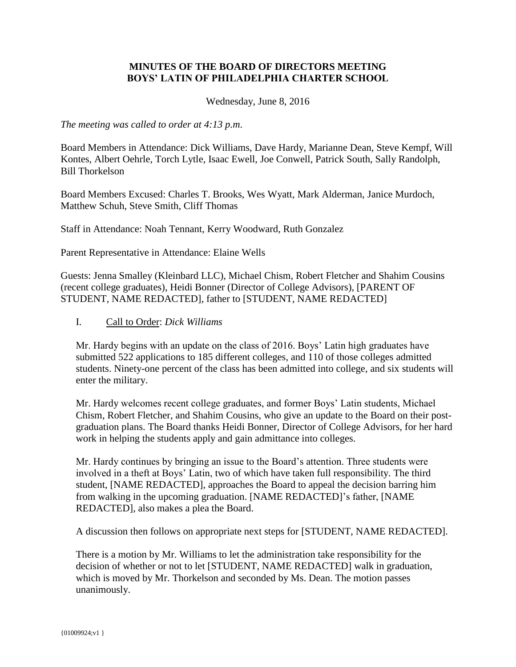## **MINUTES OF THE BOARD OF DIRECTORS MEETING BOYS' LATIN OF PHILADELPHIA CHARTER SCHOOL**

Wednesday, June 8, 2016

*The meeting was called to order at 4:13 p.m*.

Board Members in Attendance: Dick Williams, Dave Hardy, Marianne Dean, Steve Kempf, Will Kontes, Albert Oehrle, Torch Lytle, Isaac Ewell, Joe Conwell, Patrick South, Sally Randolph, Bill Thorkelson

Board Members Excused: Charles T. Brooks, Wes Wyatt, Mark Alderman, Janice Murdoch, Matthew Schuh, Steve Smith, Cliff Thomas

Staff in Attendance: Noah Tennant, Kerry Woodward, Ruth Gonzalez

Parent Representative in Attendance: Elaine Wells

Guests: Jenna Smalley (Kleinbard LLC), Michael Chism, Robert Fletcher and Shahim Cousins (recent college graduates), Heidi Bonner (Director of College Advisors), [PARENT OF STUDENT, NAME REDACTED], father to [STUDENT, NAME REDACTED]

### I. Call to Order: *Dick Williams*

Mr. Hardy begins with an update on the class of 2016. Boys' Latin high graduates have submitted 522 applications to 185 different colleges, and 110 of those colleges admitted students. Ninety-one percent of the class has been admitted into college, and six students will enter the military.

Mr. Hardy welcomes recent college graduates, and former Boys' Latin students, Michael Chism, Robert Fletcher, and Shahim Cousins, who give an update to the Board on their postgraduation plans. The Board thanks Heidi Bonner, Director of College Advisors, for her hard work in helping the students apply and gain admittance into colleges.

Mr. Hardy continues by bringing an issue to the Board's attention. Three students were involved in a theft at Boys' Latin, two of which have taken full responsibility. The third student, [NAME REDACTED], approaches the Board to appeal the decision barring him from walking in the upcoming graduation. [NAME REDACTED]'s father, [NAME REDACTED], also makes a plea the Board.

A discussion then follows on appropriate next steps for [STUDENT, NAME REDACTED].

There is a motion by Mr. Williams to let the administration take responsibility for the decision of whether or not to let [STUDENT, NAME REDACTED] walk in graduation, which is moved by Mr. Thorkelson and seconded by Ms. Dean. The motion passes unanimously.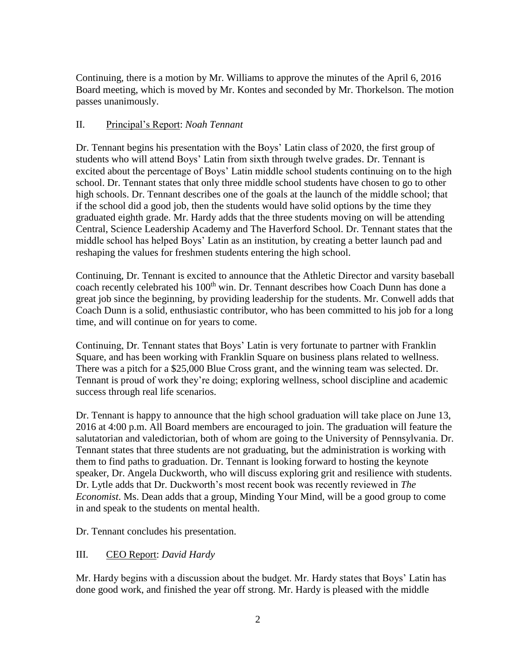Continuing, there is a motion by Mr. Williams to approve the minutes of the April 6, 2016 Board meeting, which is moved by Mr. Kontes and seconded by Mr. Thorkelson. The motion passes unanimously.

# II. Principal's Report: *Noah Tennant*

Dr. Tennant begins his presentation with the Boys' Latin class of 2020, the first group of students who will attend Boys' Latin from sixth through twelve grades. Dr. Tennant is excited about the percentage of Boys' Latin middle school students continuing on to the high school. Dr. Tennant states that only three middle school students have chosen to go to other high schools. Dr. Tennant describes one of the goals at the launch of the middle school; that if the school did a good job, then the students would have solid options by the time they graduated eighth grade. Mr. Hardy adds that the three students moving on will be attending Central, Science Leadership Academy and The Haverford School. Dr. Tennant states that the middle school has helped Boys' Latin as an institution, by creating a better launch pad and reshaping the values for freshmen students entering the high school.

Continuing, Dr. Tennant is excited to announce that the Athletic Director and varsity baseball coach recently celebrated his 100<sup>th</sup> win. Dr. Tennant describes how Coach Dunn has done a great job since the beginning, by providing leadership for the students. Mr. Conwell adds that Coach Dunn is a solid, enthusiastic contributor, who has been committed to his job for a long time, and will continue on for years to come.

Continuing, Dr. Tennant states that Boys' Latin is very fortunate to partner with Franklin Square, and has been working with Franklin Square on business plans related to wellness. There was a pitch for a \$25,000 Blue Cross grant, and the winning team was selected. Dr. Tennant is proud of work they're doing; exploring wellness, school discipline and academic success through real life scenarios.

Dr. Tennant is happy to announce that the high school graduation will take place on June 13, 2016 at 4:00 p.m. All Board members are encouraged to join. The graduation will feature the salutatorian and valedictorian, both of whom are going to the University of Pennsylvania. Dr. Tennant states that three students are not graduating, but the administration is working with them to find paths to graduation. Dr. Tennant is looking forward to hosting the keynote speaker, Dr. Angela Duckworth, who will discuss exploring grit and resilience with students. Dr. Lytle adds that Dr. Duckworth's most recent book was recently reviewed in *The Economist*. Ms. Dean adds that a group, Minding Your Mind, will be a good group to come in and speak to the students on mental health.

Dr. Tennant concludes his presentation.

# III. CEO Report: *David Hardy*

Mr. Hardy begins with a discussion about the budget. Mr. Hardy states that Boys' Latin has done good work, and finished the year off strong. Mr. Hardy is pleased with the middle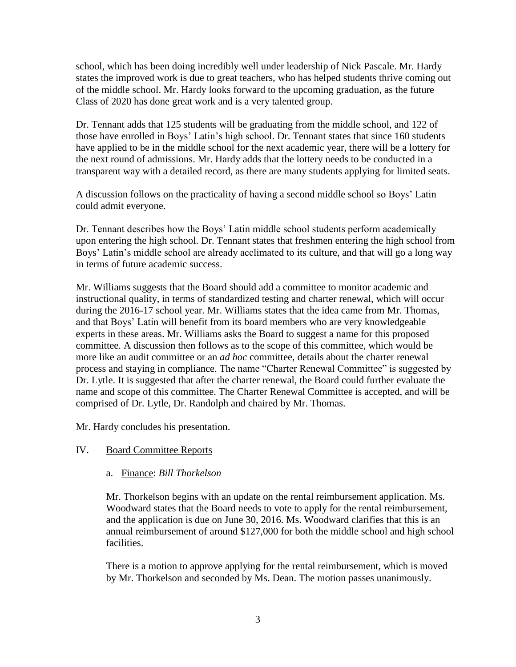school, which has been doing incredibly well under leadership of Nick Pascale. Mr. Hardy states the improved work is due to great teachers, who has helped students thrive coming out of the middle school. Mr. Hardy looks forward to the upcoming graduation, as the future Class of 2020 has done great work and is a very talented group.

Dr. Tennant adds that 125 students will be graduating from the middle school, and 122 of those have enrolled in Boys' Latin's high school. Dr. Tennant states that since 160 students have applied to be in the middle school for the next academic year, there will be a lottery for the next round of admissions. Mr. Hardy adds that the lottery needs to be conducted in a transparent way with a detailed record, as there are many students applying for limited seats.

A discussion follows on the practicality of having a second middle school so Boys' Latin could admit everyone.

Dr. Tennant describes how the Boys' Latin middle school students perform academically upon entering the high school. Dr. Tennant states that freshmen entering the high school from Boys' Latin's middle school are already acclimated to its culture, and that will go a long way in terms of future academic success.

Mr. Williams suggests that the Board should add a committee to monitor academic and instructional quality, in terms of standardized testing and charter renewal, which will occur during the 2016-17 school year. Mr. Williams states that the idea came from Mr. Thomas, and that Boys' Latin will benefit from its board members who are very knowledgeable experts in these areas. Mr. Williams asks the Board to suggest a name for this proposed committee. A discussion then follows as to the scope of this committee, which would be more like an audit committee or an *ad hoc* committee, details about the charter renewal process and staying in compliance. The name "Charter Renewal Committee" is suggested by Dr. Lytle. It is suggested that after the charter renewal, the Board could further evaluate the name and scope of this committee. The Charter Renewal Committee is accepted, and will be comprised of Dr. Lytle, Dr. Randolph and chaired by Mr. Thomas.

Mr. Hardy concludes his presentation.

### IV. Board Committee Reports

### a. Finance: *Bill Thorkelson*

Mr. Thorkelson begins with an update on the rental reimbursement application. Ms. Woodward states that the Board needs to vote to apply for the rental reimbursement, and the application is due on June 30, 2016. Ms. Woodward clarifies that this is an annual reimbursement of around \$127,000 for both the middle school and high school facilities.

There is a motion to approve applying for the rental reimbursement, which is moved by Mr. Thorkelson and seconded by Ms. Dean. The motion passes unanimously.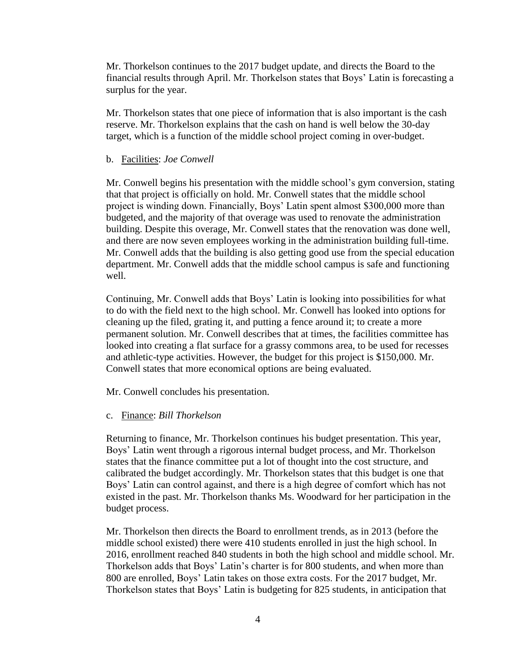Mr. Thorkelson continues to the 2017 budget update, and directs the Board to the financial results through April. Mr. Thorkelson states that Boys' Latin is forecasting a surplus for the year.

Mr. Thorkelson states that one piece of information that is also important is the cash reserve. Mr. Thorkelson explains that the cash on hand is well below the 30-day target, which is a function of the middle school project coming in over-budget.

#### b. Facilities: *Joe Conwell*

Mr. Conwell begins his presentation with the middle school's gym conversion, stating that that project is officially on hold. Mr. Conwell states that the middle school project is winding down. Financially, Boys' Latin spent almost \$300,000 more than budgeted, and the majority of that overage was used to renovate the administration building. Despite this overage, Mr. Conwell states that the renovation was done well, and there are now seven employees working in the administration building full-time. Mr. Conwell adds that the building is also getting good use from the special education department. Mr. Conwell adds that the middle school campus is safe and functioning well.

Continuing, Mr. Conwell adds that Boys' Latin is looking into possibilities for what to do with the field next to the high school. Mr. Conwell has looked into options for cleaning up the filed, grating it, and putting a fence around it; to create a more permanent solution. Mr. Conwell describes that at times, the facilities committee has looked into creating a flat surface for a grassy commons area, to be used for recesses and athletic-type activities. However, the budget for this project is \$150,000. Mr. Conwell states that more economical options are being evaluated.

Mr. Conwell concludes his presentation.

#### c. Finance: *Bill Thorkelson*

Returning to finance, Mr. Thorkelson continues his budget presentation. This year, Boys' Latin went through a rigorous internal budget process, and Mr. Thorkelson states that the finance committee put a lot of thought into the cost structure, and calibrated the budget accordingly. Mr. Thorkelson states that this budget is one that Boys' Latin can control against, and there is a high degree of comfort which has not existed in the past. Mr. Thorkelson thanks Ms. Woodward for her participation in the budget process.

Mr. Thorkelson then directs the Board to enrollment trends, as in 2013 (before the middle school existed) there were 410 students enrolled in just the high school. In 2016, enrollment reached 840 students in both the high school and middle school. Mr. Thorkelson adds that Boys' Latin's charter is for 800 students, and when more than 800 are enrolled, Boys' Latin takes on those extra costs. For the 2017 budget, Mr. Thorkelson states that Boys' Latin is budgeting for 825 students, in anticipation that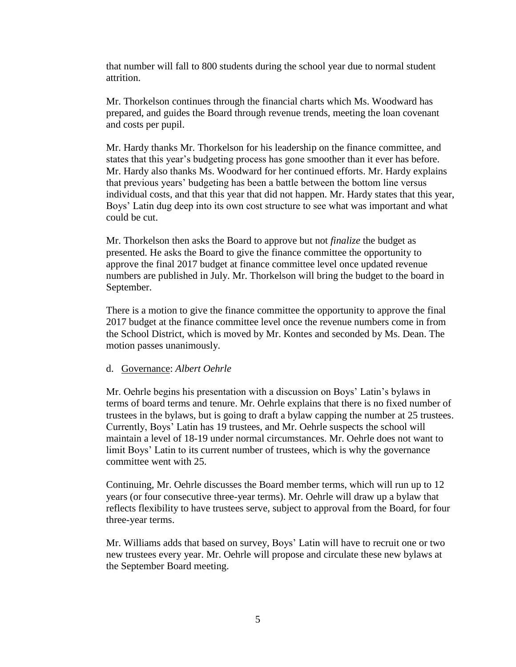that number will fall to 800 students during the school year due to normal student attrition.

Mr. Thorkelson continues through the financial charts which Ms. Woodward has prepared, and guides the Board through revenue trends, meeting the loan covenant and costs per pupil.

Mr. Hardy thanks Mr. Thorkelson for his leadership on the finance committee, and states that this year's budgeting process has gone smoother than it ever has before. Mr. Hardy also thanks Ms. Woodward for her continued efforts. Mr. Hardy explains that previous years' budgeting has been a battle between the bottom line versus individual costs, and that this year that did not happen. Mr. Hardy states that this year, Boys' Latin dug deep into its own cost structure to see what was important and what could be cut.

Mr. Thorkelson then asks the Board to approve but not *finalize* the budget as presented. He asks the Board to give the finance committee the opportunity to approve the final 2017 budget at finance committee level once updated revenue numbers are published in July. Mr. Thorkelson will bring the budget to the board in September.

There is a motion to give the finance committee the opportunity to approve the final 2017 budget at the finance committee level once the revenue numbers come in from the School District, which is moved by Mr. Kontes and seconded by Ms. Dean. The motion passes unanimously.

#### d. Governance: *Albert Oehrle*

Mr. Oehrle begins his presentation with a discussion on Boys' Latin's bylaws in terms of board terms and tenure. Mr. Oehrle explains that there is no fixed number of trustees in the bylaws, but is going to draft a bylaw capping the number at 25 trustees. Currently, Boys' Latin has 19 trustees, and Mr. Oehrle suspects the school will maintain a level of 18-19 under normal circumstances. Mr. Oehrle does not want to limit Boys' Latin to its current number of trustees, which is why the governance committee went with 25.

Continuing, Mr. Oehrle discusses the Board member terms, which will run up to 12 years (or four consecutive three-year terms). Mr. Oehrle will draw up a bylaw that reflects flexibility to have trustees serve, subject to approval from the Board, for four three-year terms.

Mr. Williams adds that based on survey, Boys' Latin will have to recruit one or two new trustees every year. Mr. Oehrle will propose and circulate these new bylaws at the September Board meeting.